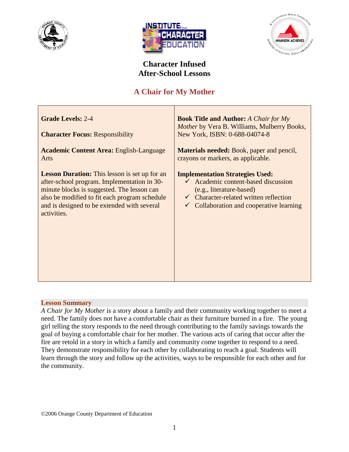





# **Character Infused After-School Lessons**

# **A Chair for My Mother**

| <b>Grade Levels: 2-4</b><br><b>Character Focus: Responsibility</b> | <b>Book Title and Author:</b> A Chair for My<br><i>Mother</i> by Vera B. Williams, Mulberry Books,<br>New York, ISBN: 0-688-04074-8 |  |
|--------------------------------------------------------------------|-------------------------------------------------------------------------------------------------------------------------------------|--|
| <b>Academic Content Area: English-Language</b>                     | <b>Materials needed:</b> Book, paper and pencil,                                                                                    |  |
| Arts                                                               | crayons or markers, as applicable.                                                                                                  |  |
| <b>Lesson Duration:</b> This lesson is set up for an               | <b>Implementation Strategies Used:</b>                                                                                              |  |
| after-school program. Implementation in 30-                        | $\checkmark$ Academic content-based discussion                                                                                      |  |
| minute blocks is suggested. The lesson can                         | (e.g., literature-based)                                                                                                            |  |
| also be modified to fit each program schedule                      | $\checkmark$ Character-related written reflection                                                                                   |  |
| and is designed to be extended with several                        | Collaboration and cooperative learning                                                                                              |  |
| activities.                                                        | $\checkmark$                                                                                                                        |  |

## **Lesson Summary**

*A Chair for My Mother* is a story about a family and their community working together to meet a need. The family does not have a comfortable chair as their furniture burned in a fire. The young girl telling the story responds to the need through contributing to the family savings towards the goal of buying a comfortable chair for her mother. The various acts of caring that occur after the fire are retold in a story in which a family and community come together to respond to a need. They demonstrate responsibility for each other by collaborating to reach a goal. Students will learn through the story and follow up the activities, ways to be responsible for each other and for the community.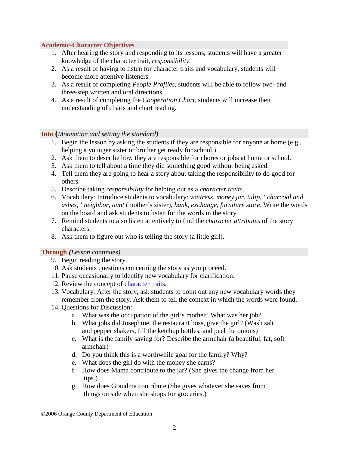#### **Academic-Character Objectives**

- 1. After hearing the story and responding to its lessons, students will have a greater knowledge of the character trait, *responsibility*.
- 2. As a result of having to listen for character traits and vocabulary, students will become more attentive listeners.
- 3. As a result of completing *People Profiles*, students will be able to follow two- and three-step written and oral directions.
- 4. As a result of completing the *Cooperation Chart*, students will increase their understanding of charts and chart reading.

#### **Into (***Motivation and setting the standard)*

- 1. Begin the lesson by asking the students if they are responsible for anyone at home (e.g., helping a younger sister or brother get ready for school.)
- 2. Ask them to describe how they are responsible for chores or jobs at home or school.
- 3. Ask them to tell about a time they did something good without being asked.
- 4. Tell them they are going to hear a story about taking the responsibility to do good for others.
- 5. Describe taking *responsibility* for helping out as a *character traits*.
- 6. Vocabulary: Introduce students to vocabulary: *waitress*, *money jar*, *tulip*, *"charcoal and ashes," neighbor, aunt* (mother's sister), *bank, exchange, furniture store*. Write the words on the board and ask students to listen for the words in the story.
- 7. Remind students to also listen attentively to find the *character attributes* of the story characters.
- 8. Ask them to figure out who is telling the story (a little girl).

#### **Through** *(Lesson continues)*

- 9. Begin reading the story.
- 10. Ask students questions concerning the story as you proceed.
- 11. Pause occasionally to identify new vocabulary for clarification.
- 12. Review the concept of character traits.
- 13. Vocabulary: After the story, ask students to point out any new vocabulary words they remember from the story. Ask them to tell the context in which the words were found.
- 14. Questions for Discussion:
	- a. What was the occupation of the girl's mother? What was her job?
	- b. What jobs did Josephine, the restaurant boss, give the girl? (Wash salt and pepper shakers, fill the ketchup bottles, and peel the onions)
	- c. What is the family saving for? Describe the armchair (a beautiful, fat, soft armchair)
	- d. Do you think this is a worthwhile goal for the family? Why?
	- e. What does the girl do with the money she earns?
	- f. How does Mama contribute to the jar? (She gives the change from her tips.)
	- g. How does Grandma contribute (She gives whatever she saves from things on sale when she shops for groceries.)

©2006 Orange County Department of Education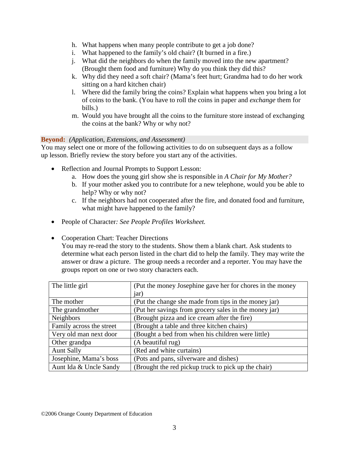- h. What happens when many people contribute to get a job done?
- i. What happened to the family's old chair? (It burned in a fire.)
- j. What did the neighbors do when the family moved into the new apartment? (Brought them food and furniture) Why do you think they did this?
- k. Why did they need a soft chair? (Mama's feet hurt; Grandma had to do her work sitting on a hard kitchen chair)
- l. Where did the family bring the coins? Explain what happens when you bring a lot of coins to the bank. (You have to roll the coins in paper and *exchange* them for bills.)
- m. Would you have brought all the coins to the furniture store instead of exchanging the coins at the bank? Why or why not?

## **Beyond:** *(Application, Extensions, and Assessment)*

You may select one or more of the following activities to do on subsequent days as a follow up lesson. Briefly review the story before you start any of the activities.

- Reflection and Journal Prompts to Support Lesson:
	- a. How does the young girl show she is responsible in *A Chair for My Mother?*
	- b. If your mother asked you to contribute for a new telephone, would you be able to help? Why or why not?
	- c. If the neighbors had not cooperated after the fire, and donated food and furniture, what might have happened to the family?
- People of Character*: See People Profiles Worksheet.*
- Cooperation Chart: Teacher Directions

You may re-read the story to the students. Show them a blank chart. Ask students to determine what each person listed in the chart did to help the family. They may write the answer or draw a picture. The group needs a recorder and a reporter. You may have the groups report on one or two story characters each.

| The little girl          | (Put the money Josephine gave her for chores in the money |  |
|--------------------------|-----------------------------------------------------------|--|
|                          | jar)                                                      |  |
| The mother               | (Put the change she made from tips in the money jar)      |  |
| The grandmother          | (Put her savings from grocery sales in the money jar)     |  |
| <b>Neighbors</b>         | (Brought pizza and ice cream after the fire)              |  |
| Family across the street | (Brought a table and three kitchen chairs)                |  |
| Very old man next door   | (Bought a bed from when his children were little)         |  |
| Other grandpa            | (A beautiful rug)                                         |  |
| <b>Aunt Sally</b>        | (Red and white curtains)                                  |  |
| Josephine, Mama's boss   | (Pots and pans, silverware and dishes)                    |  |
| Aunt Ida & Uncle Sandy   | (Brought the red pickup truck to pick up the chair)       |  |

©2006 Orange County Department of Education